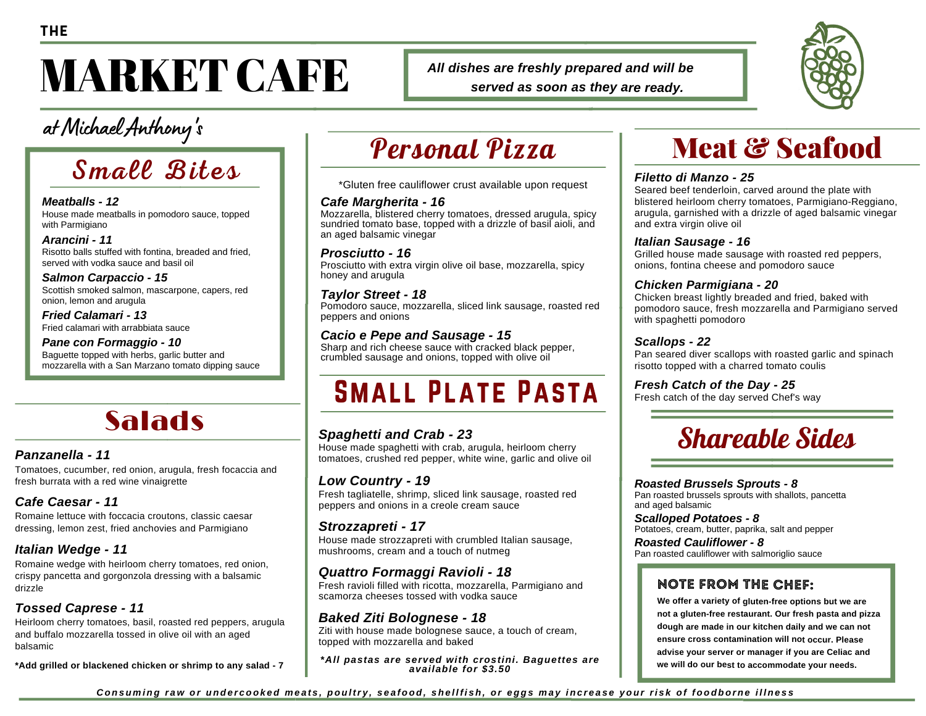# **MARKET CAFE**

at Michael Anthony 's

## Small Bites

*Meatballs - 12* House made meatballs in pomodoro sauce, topped with Parmigiano

*Arancini - 11* Risotto balls stuffed with fontina, breaded and fried, served with vodka sauce and basil oil

*Salmon Carpaccio - 15* Scottish smoked salmon, mascarpone, capers, red onion, lemon and arugula

*Fried Calamari - 13* Fried calamari with arrabbiata sauce

*Pane con Formaggio - 10* Baguette topped with herbs, garlic butter and mozzarella with a San Marzano tomato dipping sauce

### Salads

#### *Panzanella - 11*

Tomatoes, cucumber, red onion, arugula, fresh focaccia and fresh burrata with a red wine vinaigrette

#### *Cafe Caesar - 11*

Romaine lettuce with foccacia croutons, classic caesar dressing, lemon zest, fried anchovies and Parmigiano

#### *Italian Wedge - 11*

Romaine wedge with heirloom cherry tomatoes, red onion, crispy pancetta and gorgonzola dressing with a balsamic drizzle

#### *Tossed Caprese - 11*

Heirloom cherry tomatoes, basil, roasted red peppers, arugula and buffalo mozzarella tossed in olive oil with an aged balsamic

**\*Add grilled or blackened chicken or shrimp to any salad - 7**

### Personal Pizza

*All dishes are freshly prepared and will be*

*served as soon as they are ready.*

\*Gluten free cauliflower crust available upon request

#### *Cafe Margherita - 16*

Mozzarella, blistered cherry tomatoes, dressed arugula, spicy sundried tomato base, topped with a drizzle of basil aioli, and an aged balsamic vinegar

#### *Prosciutto - 16*

Prosciutto with extra virgin olive oil base, mozzarella, spicy honey and arugula

#### *Taylor Street - 18*

Pomodoro sauce, mozzarella, sliced link sausage, roasted red peppers and onions

#### *Cacio e Pepe and Sausage - 15*

Sharp and rich cheese sauce with cracked black pepper, crumbled sausage and onions, topped with olive oil

### Small Plate Pasta

#### *Spaghetti and Crab - 23*

House made spaghetti with crab, arugula, heirloom cherry tomatoes, crushed red pepper, white wine, garlic and olive oil

#### *Low Country - 19*

Fresh tagliatelle, shrimp, sliced link sausage, roasted red peppers and onions in a creole cream sauce

#### *Strozzapreti - 17*

House made strozzapreti with crumbled Italian sausage, mushrooms, cream and a touch of nutmeg

#### *Quattro Formaggi Ravioli - 18*

Fresh ravioli filled with ricotta, mozzarella, Parmigiano and scamorza cheeses tossed with vodka sauce

#### *Baked Ziti Bolognese - 18*

Ziti with house made bolognese sauce, a touch of cream, topped with mozzarella and baked

*\*All pastas are served with crostini. Baguettes are available for \$3.50*

### Meat & Seafood

#### *Filetto di Manzo - 25*

Seared beef tenderloin, carved around the plate with blistered heirloom cherry tomatoes, Parmigiano-Reggiano, arugula, garnished with a drizzle of aged balsamic vinegar and extra virgin olive oil

#### *Italian Sausage - 16*

Grilled house made sausage with roasted red peppers, onions, fontina cheese and pomodoro sauce

#### *Chicken Parmigiana - 20*

Chicken breast lightly breaded and fried, baked with pomodoro sauce, fresh mozzarella and Parmigiano served with spaghetti pomodoro

#### *Scallops - 22*

Pan seared diver scallops with roasted garlic and spinach risotto topped with a charred tomato coulis

#### *Fresh Catch of the Day - 25*

Fresh catch of the day served Chef's way



#### *Roasted Brussels Sprouts - 8*

Pan roasted brussels sprouts with shallots, pancetta and aged balsamic

*Scalloped Potatoes - 8* Potatoes, cream, butter, paprika, salt and pepper

*Roasted Cauliflower - 8* Pan roasted cauliflower with salmoriglio sauce

#### note from the Chef:

**We offer <sup>a</sup> variety of gluten-free options but we are not <sup>a</sup> gluten-free restaurant. Our fresh pasta and pizza dough are made in our kitchen daily and we can not ensure cross contamination will not occur. Please advise your server or manager if you are Celiac and we will do our best to accommodate your needs.**

Consuming raw or undercooked meats, poultry, seafood, shellfish, or eqgs may increase your risk of foodborne illness

**THE**